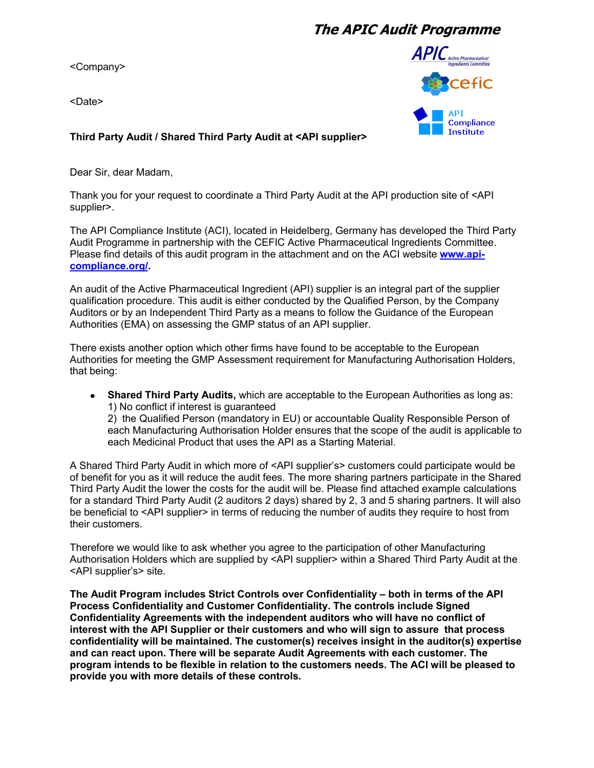## **The APIC Audit Programme**

<Company>

<Date>



## **Third Party Audit / Shared Third Party Audit at <API supplier>**

Dear Sir, dear Madam,

Thank you for your request to coordinate a Third Party Audit at the API production site of <API supplier>.

The API Compliance Institute (ACI), located in Heidelberg, Germany has developed the Third Party Audit Programme in partnership with the CEFIC Active Pharmaceutical Ingredients Committee. Please find details of this audit program in the attachment and on the ACI website **[www.api](http://www.api-compliance.org/)[compliance.org/.](http://www.api-compliance.org/)**

An audit of the Active Pharmaceutical Ingredient (API) supplier is an integral part of the supplier qualification procedure. This audit is either conducted by the Qualified Person, by the Company Auditors or by an Independent Third Party as a means to follow the Guidance of the European Authorities (EMA) on assessing the GMP status of an API supplier.

There exists another option which other firms have found to be acceptable to the European Authorities for meeting the GMP Assessment requirement for Manufacturing Authorisation Holders, that being:

**Shared Third Party Audits,** which are acceptable to the European Authorities as long as:  $\bullet$ 1) No conflict if interest is guaranteed 2) the Qualified Person (mandatory in EU) or accountable Quality Responsible Person of each Manufacturing Authorisation Holder ensures that the scope of the audit is applicable to each Medicinal Product that uses the API as a Starting Material.

A Shared Third Party Audit in which more of <API supplier's> customers could participate would be of benefit for you as it will reduce the audit fees. The more sharing partners participate in the Shared Third Party Audit the lower the costs for the audit will be. Please find attached example calculations for a standard Third Party Audit (2 auditors 2 days) shared by 2, 3 and 5 sharing partners. It will also be beneficial to <API supplier> in terms of reducing the number of audits they require to host from their customers.

Therefore we would like to ask whether you agree to the participation of other Manufacturing Authorisation Holders which are supplied by <API supplier> within a Shared Third Party Audit at the <API supplier's> site.

**The Audit Program includes Strict Controls over Confidentiality – both in terms of the API Process Confidentiality and Customer Confidentiality. The controls include Signed Confidentiality Agreements with the independent auditors who will have no conflict of interest with the API Supplier or their customers and who will sign to assure that process confidentiality will be maintained. The customer(s) receives insight in the auditor(s) expertise and can react upon. There will be separate Audit Agreements with each customer. The program intends to be flexible in relation to the customers needs. The ACI will be pleased to provide you with more details of these controls.**